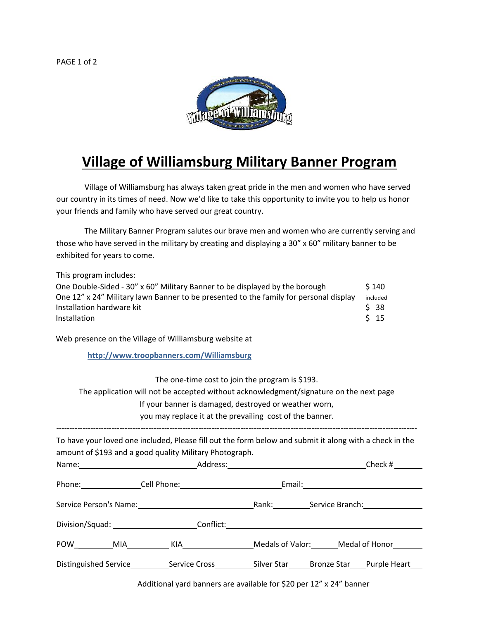

## **Village of Williamsburg Military Banner Program**

Village of Williamsburg has always taken great pride in the men and women who have served our country in its times of need. Now we'd like to take this opportunity to invite you to help us honor your friends and family who have served our great country.

The Military Banner Program salutes our brave men and women who are currently serving and those who have served in the military by creating and displaying a 30" x 60" military banner to be exhibited for years to come.

This program includes: One Double-Sided -  $30''$  x 60" Military Banner to be displayed by the borough  $\frac{1}{2}$  140 One 12" x 24" Military lawn Banner to be presented to the family for personal display included Installation hardware kit **Allie Accord Contract Contract Contract Contract Contract Contract Contract Contract Contract Contract Contract Contract Contract Contract Contract Contract Contract Contract Contract Contract Co** Installation  $\zeta$  15

Web presence on the Village of Williamsburg website at

**http://www.troopbanners.com/Williamsburg** 

The one-time cost to join the program is \$193.

The application will not be accepted without acknowledgment/signature on the next page If your banner is damaged, destroyed or weather worn, you may replace it at the prevailing cost of the banner. ----------------------------------------------------------------------------------------------------------------------------------------- To have your loved one included, Please fill out the form below and submit it along with a check in the amount of \$193 and a good quality Military Photograph.

|                                            |                                          | Check #                              |
|--------------------------------------------|------------------------------------------|--------------------------------------|
| Phone: Cell Phone: Cell Phone:             | Email: _________________________________ |                                      |
|                                            |                                          | Rank: Service Branch: Service Branch |
| Division/Squad: Conflict: Conflict:        |                                          |                                      |
|                                            |                                          | Medals of Valor: Medal of Honor      |
| Distinguished Service <b>Service Cross</b> | Silver Star                              | Bronze Star Purple Heart             |

Additional yard banners are available for \$20 per 12" x 24" banner